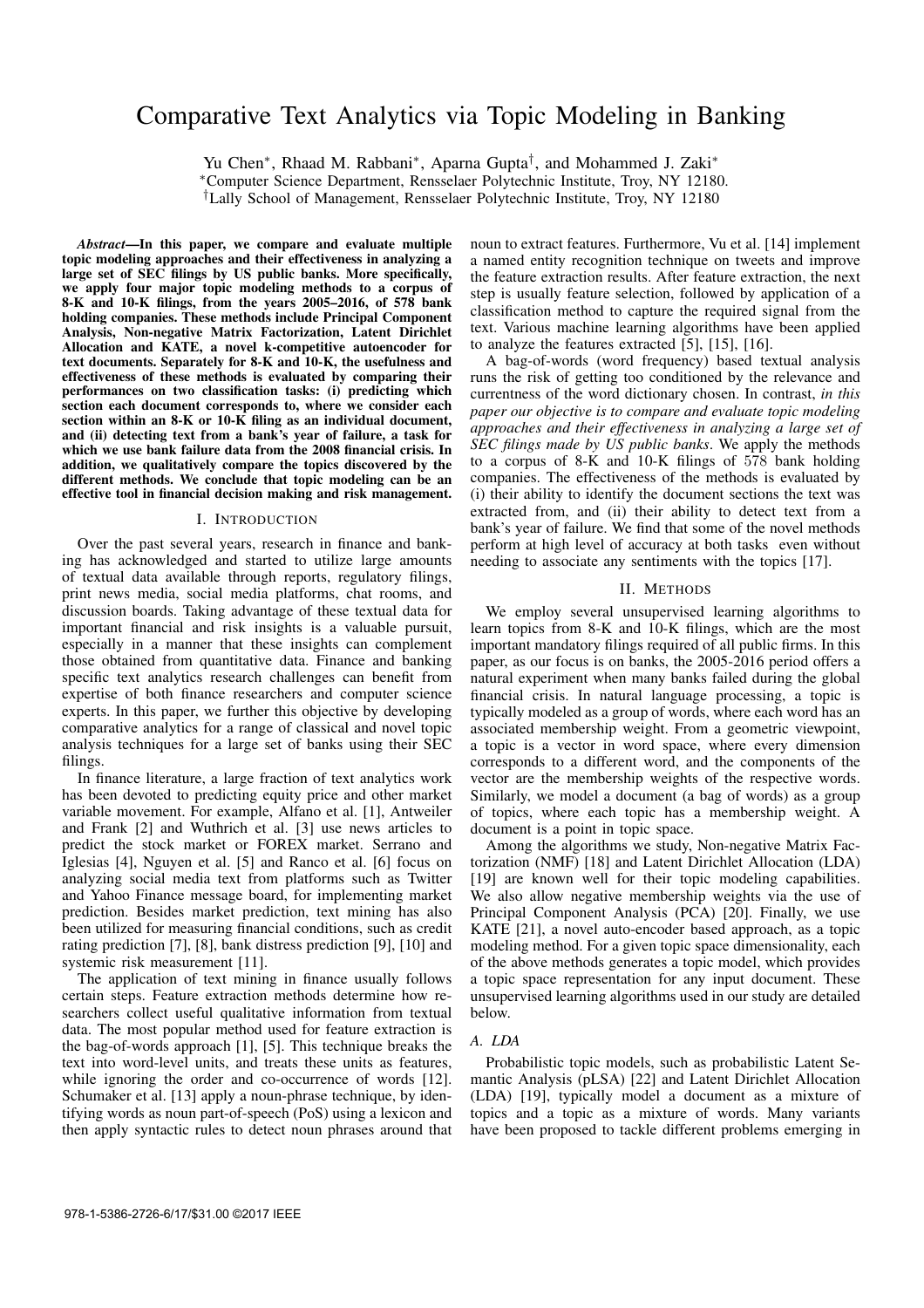# Comparative Text Analytics via Topic Modeling in Banking

Yu Chen∗, Rhaad M. Rabbani∗, Aparna Gupta*†*, and Mohammed J. Zaki∗ ∗Computer Science Department, Rensselaer Polytechnic Institute, Troy, NY 12180.

*†*Lally School of Management, Rensselaer Polytechnic Institute, Troy, NY 12180

*Abstract*—In this paper, we compare and evaluate multiple topic modeling approaches and their effectiveness in analyzing a large set of SEC filings by US public banks. More specifically, we apply four major topic modeling methods to a corpus of 8-K and 10-K filings, from the years 2005–2016, of 578 bank holding companies. These methods include Principal Component Analysis, Non-negative Matrix Factorization, Latent Dirichlet Allocation and KATE, a novel k-competitive autoencoder for text documents. Separately for 8-K and 10-K, the usefulness and effectiveness of these methods is evaluated by comparing their performances on two classification tasks: (i) predicting which section each document corresponds to, where we consider each section within an 8-K or 10-K filing as an individual document, and (ii) detecting text from a bank's year of failure, a task for which we use bank failure data from the 2008 financial crisis. In addition, we qualitatively compare the topics discovered by the different methods. We conclude that topic modeling can be an effective tool in financial decision making and risk management.

## I. INTRODUCTION

Over the past several years, research in finance and banking has acknowledged and started to utilize large amounts of textual data available through reports, regulatory filings, print news media, social media platforms, chat rooms, and discussion boards. Taking advantage of these textual data for important financial and risk insights is a valuable pursuit, especially in a manner that these insights can complement those obtained from quantitative data. Finance and banking specific text analytics research challenges can benefit from expertise of both finance researchers and computer science experts. In this paper, we further this objective by developing comparative analytics for a range of classical and novel topic analysis techniques for a large set of banks using their SEC filings.

In finance literature, a large fraction of text analytics work has been devoted to predicting equity price and other market variable movement. For example, Alfano et al. [1], Antweiler and Frank [2] and Wuthrich et al. [3] use news articles to predict the stock market or FOREX market. Serrano and Iglesias [4], Nguyen et al. [5] and Ranco et al. [6] focus on analyzing social media text from platforms such as Twitter and Yahoo Finance message board, for implementing market prediction. Besides market prediction, text mining has also been utilized for measuring financial conditions, such as credit rating prediction [7], [8], bank distress prediction [9], [10] and systemic risk measurement [11].

The application of text mining in finance usually follows certain steps. Feature extraction methods determine how researchers collect useful qualitative information from textual data. The most popular method used for feature extraction is the bag-of-words approach [1], [5]. This technique breaks the text into word-level units, and treats these units as features, while ignoring the order and co-occurrence of words [12]. Schumaker et al. [13] apply a noun-phrase technique, by identifying words as noun part-of-speech (PoS) using a lexicon and then apply syntactic rules to detect noun phrases around that noun to extract features. Furthermore, Vu et al. [14] implement a named entity recognition technique on tweets and improve the feature extraction results. After feature extraction, the next step is usually feature selection, followed by application of a classification method to capture the required signal from the text. Various machine learning algorithms have been applied to analyze the features extracted [5], [15], [16].

A bag-of-words (word frequency) based textual analysis runs the risk of getting too conditioned by the relevance and currentness of the word dictionary chosen. In contrast, *in this paper our objective is to compare and evaluate topic modeling approaches and their effectiveness in analyzing a large set of SEC filings made by US public banks*. We apply the methods to a corpus of 8-K and 10-K filings of 578 bank holding companies. The effectiveness of the methods is evaluated by (i) their ability to identify the document sections the text was extracted from, and (ii) their ability to detect text from a bank's year of failure. We find that some of the novel methods perform at high level of accuracy at both tasks even without needing to associate any sentiments with the topics [17].

## II. METHODS

We employ several unsupervised learning algorithms to learn topics from 8-K and 10-K filings, which are the most important mandatory filings required of all public firms. In this paper, as our focus is on banks, the 2005-2016 period offers a natural experiment when many banks failed during the global financial crisis. In natural language processing, a topic is typically modeled as a group of words, where each word has an associated membership weight. From a geometric viewpoint, a topic is a vector in word space, where every dimension corresponds to a different word, and the components of the vector are the membership weights of the respective words. Similarly, we model a document (a bag of words) as a group of topics, where each topic has a membership weight. A document is a point in topic space.

Among the algorithms we study, Non-negative Matrix Factorization (NMF) [18] and Latent Dirichlet Allocation (LDA) [19] are known well for their topic modeling capabilities. We also allow negative membership weights via the use of Principal Component Analysis (PCA) [20]. Finally, we use KATE [21], a novel auto-encoder based approach, as a topic modeling method. For a given topic space dimensionality, each of the above methods generates a topic model, which provides a topic space representation for any input document. These unsupervised learning algorithms used in our study are detailed below.

# *A. LDA*

Probabilistic topic models, such as probabilistic Latent Semantic Analysis (pLSA) [22] and Latent Dirichlet Allocation (LDA) [19], typically model a document as a mixture of topics and a topic as a mixture of words. Many variants have been proposed to tackle different problems emerging in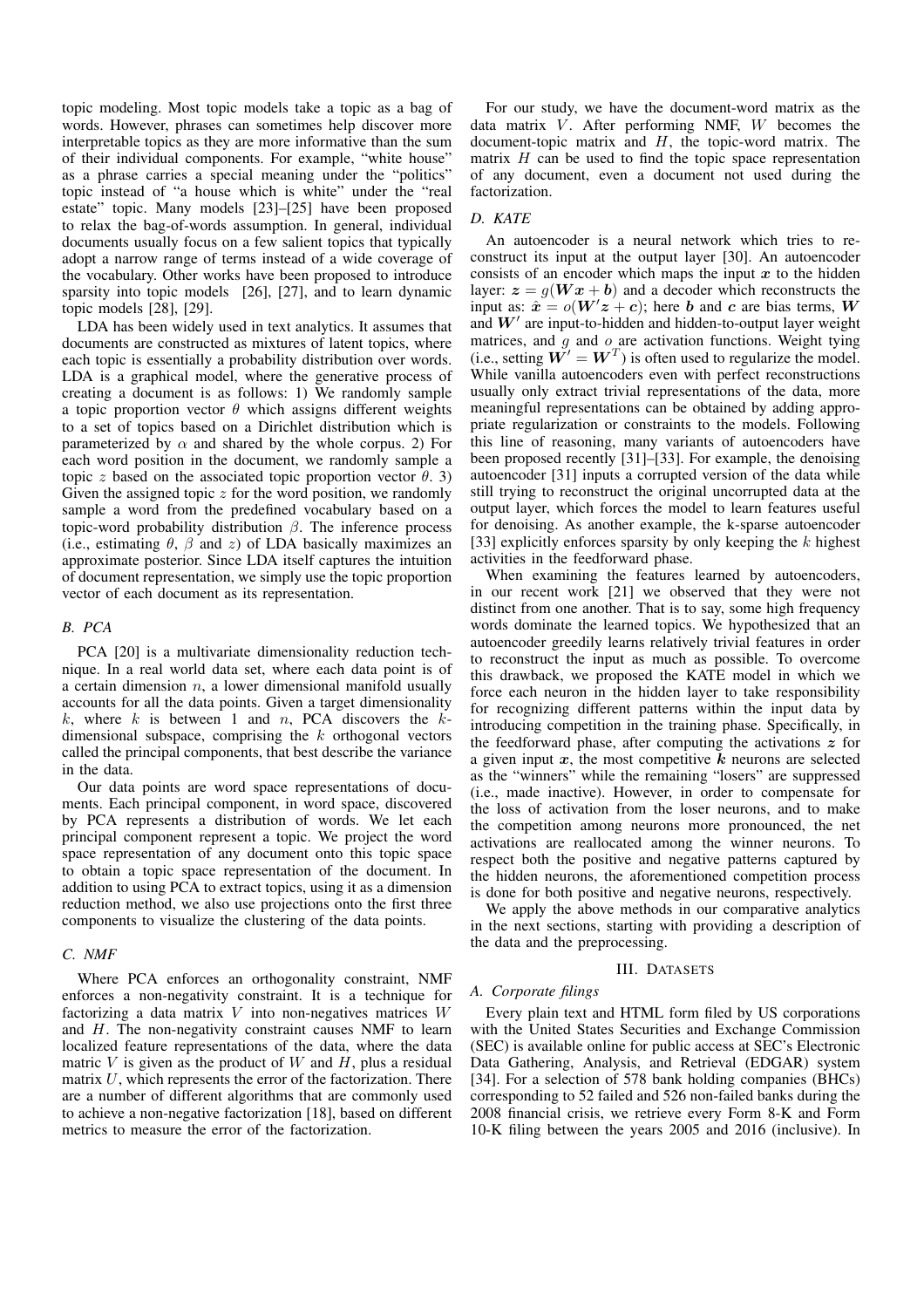topic modeling. Most topic models take a topic as a bag of words. However, phrases can sometimes help discover more interpretable topics as they are more informative than the sum of their individual components. For example, "white house" as a phrase carries a special meaning under the "politics" topic instead of "a house which is white" under the "real estate" topic. Many models [23]–[25] have been proposed to relax the bag-of-words assumption. In general, individual documents usually focus on a few salient topics that typically adopt a narrow range of terms instead of a wide coverage of the vocabulary. Other works have been proposed to introduce sparsity into topic models [26], [27], and to learn dynamic topic models [28], [29].

LDA has been widely used in text analytics. It assumes that documents are constructed as mixtures of latent topics, where each topic is essentially a probability distribution over words. LDA is a graphical model, where the generative process of creating a document is as follows: 1) We randomly sample a topic proportion vector  $\theta$  which assigns different weights to a set of topics based on a Dirichlet distribution which is parameterized by  $\alpha$  and shared by the whole corpus. 2) For each word position in the document, we randomly sample a topic *z* based on the associated topic proportion vector  $\theta$ . 3) Given the assigned topic *z* for the word position, we randomly sample a word from the predefined vocabulary based on a topic-word probability distribution β. The inference process (i.e., estimating  $\theta$ ,  $\beta$  and *z*) of LDA basically maximizes an approximate posterior. Since LDA itself captures the intuition of document representation, we simply use the topic proportion vector of each document as its representation.

## *B. PCA*

PCA [20] is a multivariate dimensionality reduction technique. In a real world data set, where each data point is of a certain dimension *n*, a lower dimensional manifold usually accounts for all the data points. Given a target dimensionality *k*, where *k* is between 1 and *n*, PCA discovers the *k*dimensional subspace, comprising the *k* orthogonal vectors called the principal components, that best describe the variance in the data.

Our data points are word space representations of documents. Each principal component, in word space, discovered by PCA represents a distribution of words. We let each principal component represent a topic. We project the word space representation of any document onto this topic space to obtain a topic space representation of the document. In addition to using PCA to extract topics, using it as a dimension reduction method, we also use projections onto the first three components to visualize the clustering of the data points.

### *C. NMF*

Where PCA enforces an orthogonality constraint, NMF enforces a non-negativity constraint. It is a technique for factorizing a data matrix *V* into non-negatives matrices *W* and *H*. The non-negativity constraint causes NMF to learn localized feature representations of the data, where the data matric  $V$  is given as the product of  $W$  and  $H$ , plus a residual matrix *U*, which represents the error of the factorization. There are a number of different algorithms that are commonly used to achieve a non-negative factorization [18], based on different metrics to measure the error of the factorization.

For our study, we have the document-word matrix as the data matrix *V*. After performing NMF, *W* becomes the document-topic matrix and *H*, the topic-word matrix. The matrix *H* can be used to find the topic space representation of any document, even a document not used during the factorization.

# *D. KATE*

An autoencoder is a neural network which tries to reconstruct its input at the output layer [30]. An autoencoder consists of an encoder which maps the input *x* to the hidden layer:  $z = g(\mathbf{W}x + \mathbf{b})$  and a decoder which reconstructs the input as:  $\hat{x} = o(W'z + c)$ ; here *b* and *c* are bias terms, *W* and *W*′ are input-to-hidden and hidden-to-output layer weight matrices, and *g* and *o* are activation functions. Weight tying (i.e., setting  $\mathbf{W}' = \mathbf{W}^T$ ) is often used to regularize the model. While vanilla autoencoders even with perfect reconstructions usually only extract trivial representations of the data, more meaningful representations can be obtained by adding appropriate regularization or constraints to the models. Following this line of reasoning, many variants of autoencoders have been proposed recently [31]–[33]. For example, the denoising autoencoder [31] inputs a corrupted version of the data while still trying to reconstruct the original uncorrupted data at the output layer, which forces the model to learn features useful for denoising. As another example, the k-sparse autoencoder [33] explicitly enforces sparsity by only keeping the *k* highest activities in the feedforward phase.

When examining the features learned by autoencoders, in our recent work [21] we observed that they were not distinct from one another. That is to say, some high frequency words dominate the learned topics. We hypothesized that an autoencoder greedily learns relatively trivial features in order to reconstruct the input as much as possible. To overcome this drawback, we proposed the KATE model in which we force each neuron in the hidden layer to take responsibility for recognizing different patterns within the input data by introducing competition in the training phase. Specifically, in the feedforward phase, after computing the activations *z* for a given input  $x$ , the most competitive  $k$  neurons are selected as the "winners" while the remaining "losers" are suppressed (i.e., made inactive). However, in order to compensate for the loss of activation from the loser neurons, and to make the competition among neurons more pronounced, the net activations are reallocated among the winner neurons. To respect both the positive and negative patterns captured by the hidden neurons, the aforementioned competition process is done for both positive and negative neurons, respectively.

We apply the above methods in our comparative analytics in the next sections, starting with providing a description of the data and the preprocessing.

#### III. DATASETS

## *A. Corporate filings*

Every plain text and HTML form filed by US corporations with the United States Securities and Exchange Commission (SEC) is available online for public access at SEC's Electronic Data Gathering, Analysis, and Retrieval (EDGAR) system [34]. For a selection of 578 bank holding companies (BHCs) corresponding to 52 failed and 526 non-failed banks during the 2008 financial crisis, we retrieve every Form 8-K and Form 10-K filing between the years 2005 and 2016 (inclusive). In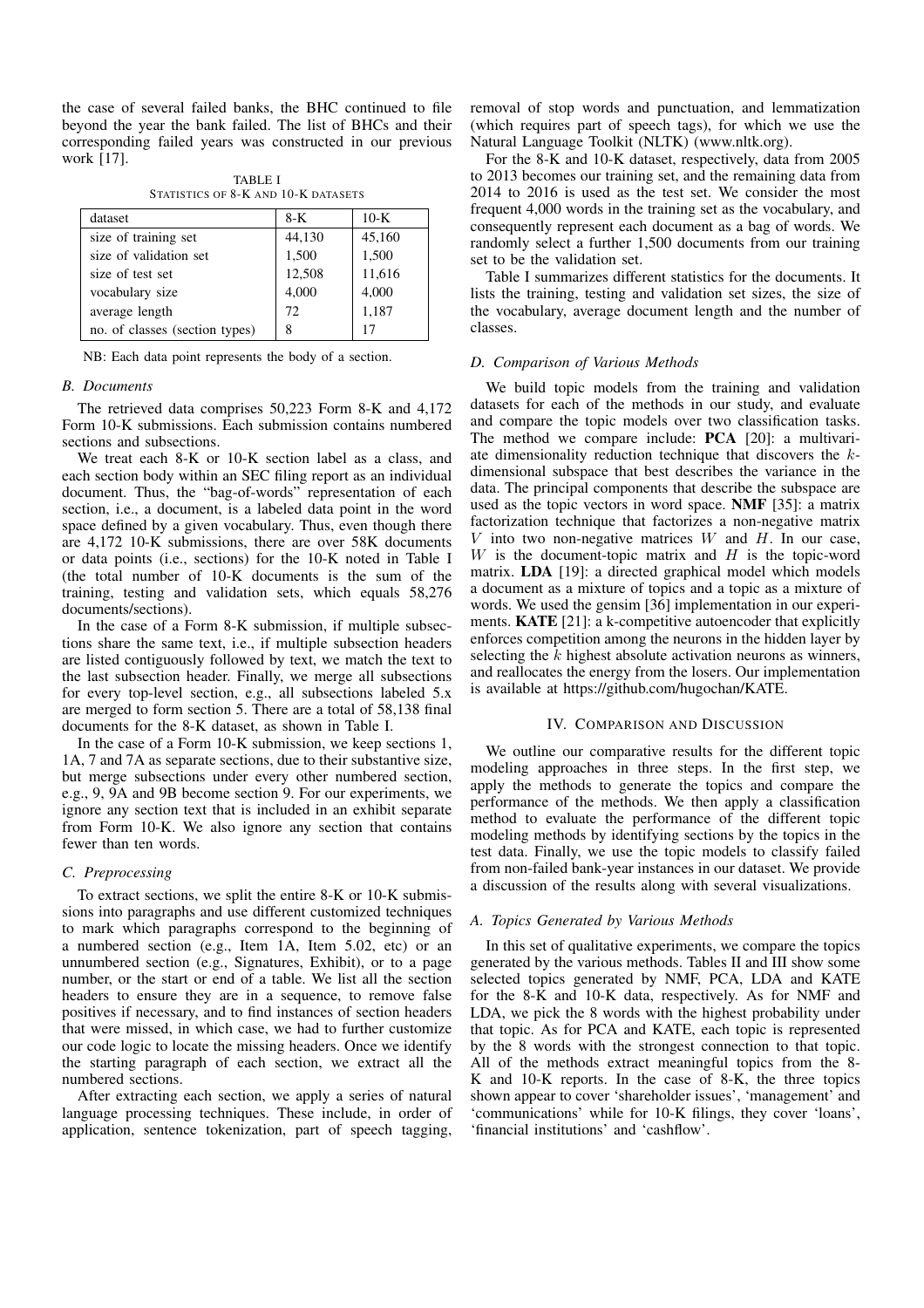the case of several failed banks, the BHC continued to file beyond the year the bank failed. The list of BHCs and their corresponding failed years was constructed in our previous work [17].

TABLE I STATISTICS OF 8-K AND 10-K DATASETS

| dataset                        | $8-K$  | $10-K$ |
|--------------------------------|--------|--------|
| size of training set           | 44,130 | 45,160 |
| size of validation set         | 1,500  | 1,500  |
| size of test set               | 12,508 | 11,616 |
| vocabulary size                | 4,000  | 4,000  |
| average length                 | 72     | 1,187  |
| no. of classes (section types) | 8      |        |

NB: Each data point represents the body of a section.

#### *B. Documents*

The retrieved data comprises 50,223 Form 8-K and 4,172 Form 10-K submissions. Each submission contains numbered sections and subsections.

We treat each 8-K or 10-K section label as a class, and each section body within an SEC filing report as an individual document. Thus, the "bag-of-words" representation of each section, i.e., a document, is a labeled data point in the word space defined by a given vocabulary. Thus, even though there are 4,172 10-K submissions, there are over 58K documents or data points (i.e., sections) for the 10-K noted in Table I (the total number of 10-K documents is the sum of the training, testing and validation sets, which equals 58,276 documents/sections).

In the case of a Form 8-K submission, if multiple subsections share the same text, i.e., if multiple subsection headers are listed contiguously followed by text, we match the text to the last subsection header. Finally, we merge all subsections for every top-level section, e.g., all subsections labeled 5.x are merged to form section 5. There are a total of 58,138 final documents for the 8-K dataset, as shown in Table I.

In the case of a Form 10-K submission, we keep sections 1, 1A, 7 and 7A as separate sections, due to their substantive size, but merge subsections under every other numbered section, e.g., 9, 9A and 9B become section 9. For our experiments, we ignore any section text that is included in an exhibit separate from Form 10-K. We also ignore any section that contains fewer than ten words.

#### *C. Preprocessing*

To extract sections, we split the entire 8-K or 10-K submissions into paragraphs and use different customized techniques to mark which paragraphs correspond to the beginning of a numbered section (e.g., Item 1A, Item 5.02, etc) or an unnumbered section (e.g., Signatures, Exhibit), or to a page number, or the start or end of a table. We list all the section headers to ensure they are in a sequence, to remove false positives if necessary, and to find instances of section headers that were missed, in which case, we had to further customize our code logic to locate the missing headers. Once we identify the starting paragraph of each section, we extract all the numbered sections.

After extracting each section, we apply a series of natural language processing techniques. These include, in order of application, sentence tokenization, part of speech tagging, removal of stop words and punctuation, and lemmatization (which requires part of speech tags), for which we use the Natural Language Toolkit (NLTK) (www.nltk.org).

For the 8-K and 10-K dataset, respectively, data from 2005 to 2013 becomes our training set, and the remaining data from 2014 to 2016 is used as the test set. We consider the most frequent 4,000 words in the training set as the vocabulary, and consequently represent each document as a bag of words. We randomly select a further 1,500 documents from our training set to be the validation set.

Table I summarizes different statistics for the documents. It lists the training, testing and validation set sizes, the size of the vocabulary, average document length and the number of classes.

## *D. Comparison of Various Methods*

We build topic models from the training and validation datasets for each of the methods in our study, and evaluate and compare the topic models over two classification tasks. The method we compare include: PCA [20]: a multivariate dimensionality reduction technique that discovers the *k*dimensional subspace that best describes the variance in the data. The principal components that describe the subspace are used as the topic vectors in word space. NMF [35]: a matrix factorization technique that factorizes a non-negative matrix *V* into two non-negative matrices *W* and *H*. In our case, *W* is the document-topic matrix and *H* is the topic-word matrix. **LDA** [19]: a directed graphical model which models a document as a mixture of topics and a topic as a mixture of words. We used the gensim [36] implementation in our experiments. **KATE** [21]: a k-competitive autoencoder that explicitly enforces competition among the neurons in the hidden layer by selecting the *k* highest absolute activation neurons as winners, and reallocates the energy from the losers. Our implementation is available at https://github.com/hugochan/KATE.

# IV. COMPARISON AND DISCUSSION

We outline our comparative results for the different topic modeling approaches in three steps. In the first step, we apply the methods to generate the topics and compare the performance of the methods. We then apply a classification method to evaluate the performance of the different topic modeling methods by identifying sections by the topics in the test data. Finally, we use the topic models to classify failed from non-failed bank-year instances in our dataset. We provide a discussion of the results along with several visualizations.

#### *A. Topics Generated by Various Methods*

In this set of qualitative experiments, we compare the topics generated by the various methods. Tables II and III show some selected topics generated by NMF, PCA, LDA and KATE for the 8-K and 10-K data, respectively. As for NMF and LDA, we pick the 8 words with the highest probability under that topic. As for PCA and KATE, each topic is represented by the 8 words with the strongest connection to that topic. All of the methods extract meaningful topics from the 8- K and 10-K reports. In the case of 8-K, the three topics shown appear to cover 'shareholder issues', 'management' and 'communications' while for 10-K filings, they cover 'loans', 'financial institutions' and 'cashflow'.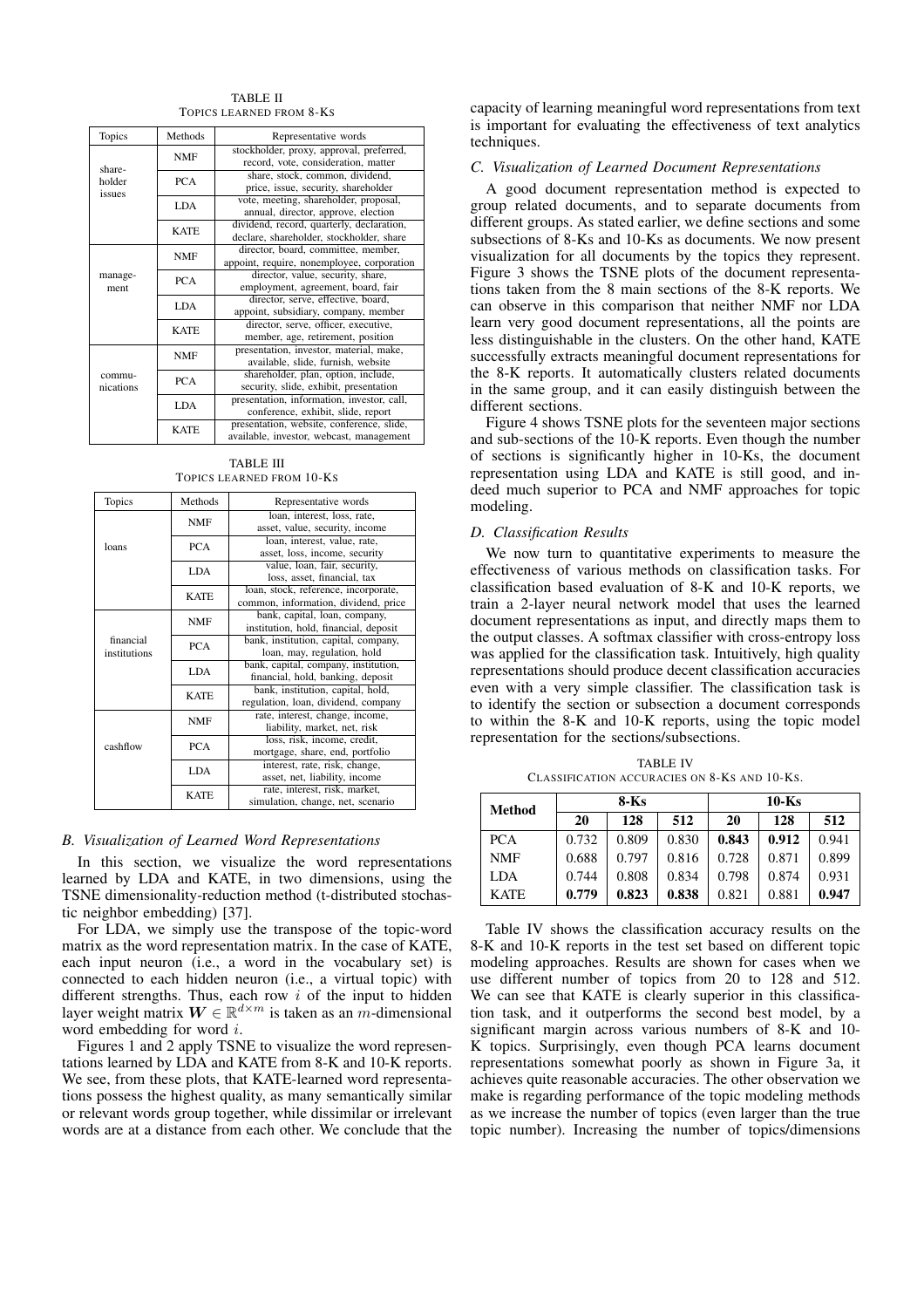| Topics     | Methods     | Representative words                       |  |  |  |  |
|------------|-------------|--------------------------------------------|--|--|--|--|
| <b>NMF</b> |             | stockholder, proxy, approval, preferred,   |  |  |  |  |
| share-     |             | record, vote, consideration, matter        |  |  |  |  |
| holder     | <b>PCA</b>  | share, stock, common, dividend,            |  |  |  |  |
| issues     |             | price, issue, security, shareholder        |  |  |  |  |
| <b>LDA</b> |             | vote, meeting, shareholder, proposal,      |  |  |  |  |
|            |             | annual, director, approve, election        |  |  |  |  |
|            | <b>KATE</b> | dividend, record, quarterly, declaration,  |  |  |  |  |
|            |             | declare, shareholder, stockholder, share   |  |  |  |  |
|            | <b>NMF</b>  | director, board, committee, member,        |  |  |  |  |
|            |             | appoint, require, nonemployee, corporation |  |  |  |  |
| manage-    | <b>PCA</b>  | director, value, security, share,          |  |  |  |  |
| ment       |             | employment, agreement, board, fair         |  |  |  |  |
|            | LDA.        | director, serve, effective, board,         |  |  |  |  |
|            |             | appoint, subsidiary, company, member       |  |  |  |  |
|            | <b>KATE</b> | director, serve, officer, executive,       |  |  |  |  |
|            |             | member, age, retirement, position          |  |  |  |  |
|            | <b>NMF</b>  | presentation, investor, material, make,    |  |  |  |  |
|            |             | available, slide, furnish, website         |  |  |  |  |
| commu-     | <b>PCA</b>  | shareholder, plan, option, include,        |  |  |  |  |
| nications  |             | security, slide, exhibit, presentation     |  |  |  |  |
|            | <b>LDA</b>  | presentation, information, investor, call, |  |  |  |  |
|            |             | conference, exhibit, slide, report         |  |  |  |  |
|            | <b>KATE</b> | presentation, website, conference, slide,  |  |  |  |  |
|            |             | available, investor, webcast, management   |  |  |  |  |

TABLE II TOPICS LEARNED FROM 8-KS

TABLE III TOPICS LEARNED FROM 10-KS

| <b>Topics</b> | Methods     | Representative words                  |  |  |  |  |
|---------------|-------------|---------------------------------------|--|--|--|--|
|               | <b>NMF</b>  | loan, interest, loss, rate,           |  |  |  |  |
|               |             | asset, value, security, income        |  |  |  |  |
| loans         | <b>PCA</b>  | loan, interest, value, rate,          |  |  |  |  |
|               |             | asset, loss, income, security         |  |  |  |  |
|               | <b>LDA</b>  | value, loan, fair, security,          |  |  |  |  |
|               |             | loss, asset, financial, tax           |  |  |  |  |
|               | <b>KATE</b> | loan, stock, reference, incorporate,  |  |  |  |  |
|               |             | common, information, dividend, price  |  |  |  |  |
|               | <b>NMF</b>  | bank, capital, loan, company,         |  |  |  |  |
|               |             | institution, hold, financial, deposit |  |  |  |  |
| financial     | <b>PCA</b>  | bank, institution, capital, company,  |  |  |  |  |
| institutions  |             | loan, may, regulation, hold           |  |  |  |  |
|               | <b>LDA</b>  | bank, capital, company, institution,  |  |  |  |  |
|               |             | financial, hold, banking, deposit     |  |  |  |  |
|               | <b>KATE</b> | bank, institution, capital, hold,     |  |  |  |  |
|               |             | regulation, loan, dividend, company   |  |  |  |  |
|               | <b>NMF</b>  | rate, interest, change, income,       |  |  |  |  |
|               |             | liability, market, net, risk          |  |  |  |  |
| cashflow      | <b>PCA</b>  | loss, risk, income, credit,           |  |  |  |  |
|               |             | mortgage, share, end, portfolio       |  |  |  |  |
|               | <b>LDA</b>  | interest, rate, risk, change,         |  |  |  |  |
|               |             | asset, net, liability, income         |  |  |  |  |
|               | <b>KATE</b> | rate, interest, risk, market,         |  |  |  |  |
|               |             | simulation, change, net, scenario     |  |  |  |  |

# *B. Visualization of Learned Word Representations*

In this section, we visualize the word representations learned by LDA and KATE, in two dimensions, using the TSNE dimensionality-reduction method (t-distributed stochastic neighbor embedding) [37].

For LDA, we simply use the transpose of the topic-word matrix as the word representation matrix. In the case of KATE, each input neuron (i.e., a word in the vocabulary set) is connected to each hidden neuron (i.e., a virtual topic) with different strengths. Thus, each row *i* of the input to hidden layer weight matrix  $W \in \mathbb{R}^{d \times m}$  is taken as an *m*-dimensional word embedding for word *i*.

Figures 1 and 2 apply TSNE to visualize the word representations learned by LDA and KATE from 8-K and 10-K reports. We see, from these plots, that KATE-learned word representations possess the highest quality, as many semantically similar or relevant words group together, while dissimilar or irrelevant words are at a distance from each other. We conclude that the capacity of learning meaningful word representations from text is important for evaluating the effectiveness of text analytics techniques.

#### *C. Visualization of Learned Document Representations*

A good document representation method is expected to group related documents, and to separate documents from different groups. As stated earlier, we define sections and some subsections of 8-Ks and 10-Ks as documents. We now present visualization for all documents by the topics they represent. Figure 3 shows the TSNE plots of the document representations taken from the 8 main sections of the 8-K reports. We can observe in this comparison that neither NMF nor LDA learn very good document representations, all the points are less distinguishable in the clusters. On the other hand, KATE successfully extracts meaningful document representations for the 8-K reports. It automatically clusters related documents in the same group, and it can easily distinguish between the different sections.

Figure 4 shows TSNE plots for the seventeen major sections and sub-sections of the 10-K reports. Even though the number of sections is significantly higher in 10-Ks, the document representation using LDA and KATE is still good, and indeed much superior to PCA and NMF approaches for topic modeling.

# *D. Classification Results*

We now turn to quantitative experiments to measure the effectiveness of various methods on classification tasks. For classification based evaluation of 8-K and 10-K reports, we train a 2-layer neural network model that uses the learned document representations as input, and directly maps them to the output classes. A softmax classifier with cross-entropy loss was applied for the classification task. Intuitively, high quality representations should produce decent classification accuracies even with a very simple classifier. The classification task is to identify the section or subsection a document corresponds to within the 8-K and 10-K reports, using the topic model representation for the sections/subsections.

TABLE IV CLASSIFICATION ACCURACIES ON 8-KS AND 10-KS.

| Method      |       | $8-Ks$ |       | $10-Ks$ |       |       |
|-------------|-------|--------|-------|---------|-------|-------|
|             | 20    | 128    | 512   | 20      | 128   | 512   |
| <b>PCA</b>  | 0.732 | 0.809  | 0.830 | 0.843   | 0.912 | 0.941 |
| <b>NMF</b>  | 0.688 | 0.797  | 0.816 | 0.728   | 0.871 | 0.899 |
| <b>LDA</b>  | 0.744 | 0.808  | 0.834 | 0.798   | 0.874 | 0.931 |
| <b>KATE</b> | 0.779 | 0.823  | 0.838 | 0.821   | 0.881 | 0.947 |

Table IV shows the classification accuracy results on the 8-K and 10-K reports in the test set based on different topic modeling approaches. Results are shown for cases when we use different number of topics from 20 to 128 and 512. We can see that KATE is clearly superior in this classification task, and it outperforms the second best model, by a significant margin across various numbers of 8-K and 10- K topics. Surprisingly, even though PCA learns document representations somewhat poorly as shown in Figure 3a, it achieves quite reasonable accuracies. The other observation we make is regarding performance of the topic modeling methods as we increase the number of topics (even larger than the true topic number). Increasing the number of topics/dimensions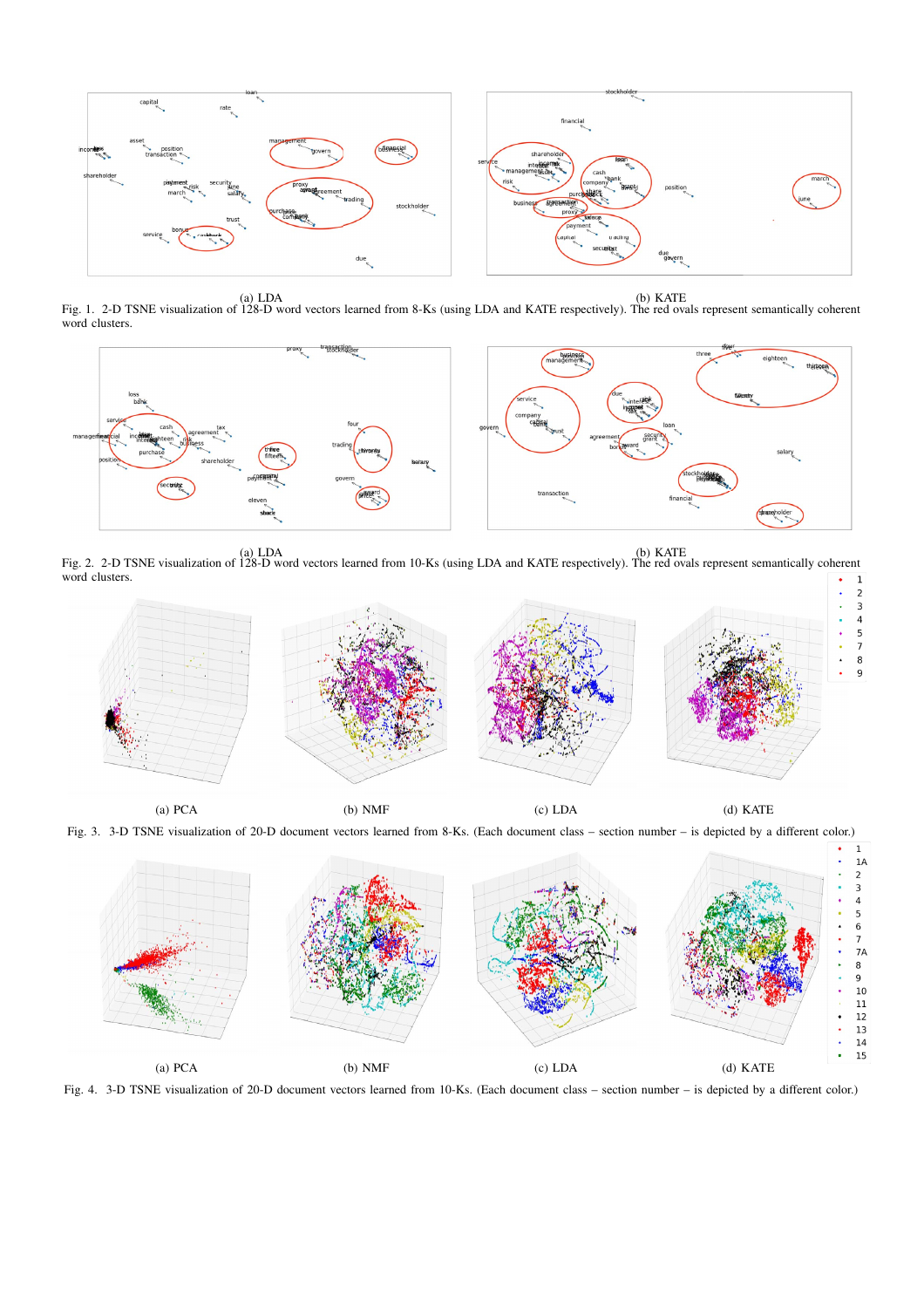

(a) LDA (b) KATE Fig. 1. 2-D TSNE visualization of 128-D word vectors learned from 8-Ks (using LDA and KATE respectively). The red ovals represent semantically coherent word clusters.



(a) LDA (b) KATE Fig. 2. 2-D TSNE visualization of 128-D word vectors learned from 10-Ks (using LDA and KATE respectively). The red ovals represent semantically coherent word clusters.  $\,1\,$ 



(a) PCA (b) NMF (c) LDA (d) KATE





Fig. 4. 3-D TSNE visualization of 20-D document vectors learned from 10-Ks. (Each document class – section number – is depicted by a different color.)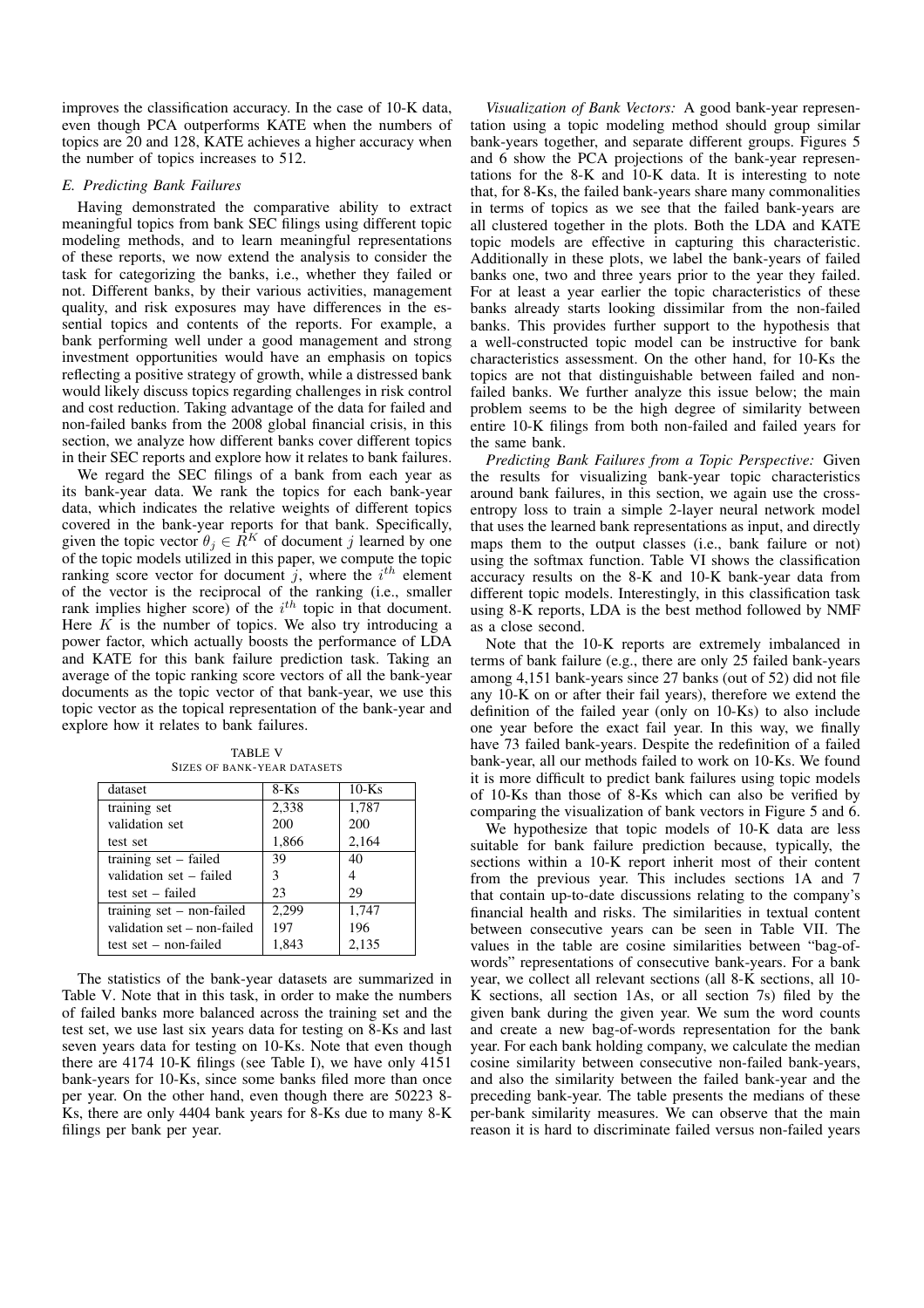improves the classification accuracy. In the case of 10-K data, even though PCA outperforms KATE when the numbers of topics are 20 and 128, KATE achieves a higher accuracy when the number of topics increases to 512.

#### *E. Predicting Bank Failures*

Having demonstrated the comparative ability to extract meaningful topics from bank SEC filings using different topic modeling methods, and to learn meaningful representations of these reports, we now extend the analysis to consider the task for categorizing the banks, i.e., whether they failed or not. Different banks, by their various activities, management quality, and risk exposures may have differences in the essential topics and contents of the reports. For example, a bank performing well under a good management and strong investment opportunities would have an emphasis on topics reflecting a positive strategy of growth, while a distressed bank would likely discuss topics regarding challenges in risk control and cost reduction. Taking advantage of the data for failed and non-failed banks from the 2008 global financial crisis, in this section, we analyze how different banks cover different topics in their SEC reports and explore how it relates to bank failures.

We regard the SEC filings of a bank from each year as its bank-year data. We rank the topics for each bank-year data, which indicates the relative weights of different topics covered in the bank-year reports for that bank. Specifically, given the topic vector  $\theta_j \in \hat{R}^K$  of document *j* learned by one of the topic models utilized in this paper, we compute the topic ranking score vector for document  $j$ , where the  $i^{th}$  element of the vector is the reciprocal of the ranking (i.e., smaller rank implies higher score) of the *i th* topic in that document. Here  $K$  is the number of topics. We also try introducing a power factor, which actually boosts the performance of LDA and KATE for this bank failure prediction task. Taking an average of the topic ranking score vectors of all the bank-year documents as the topic vector of that bank-year, we use this topic vector as the topical representation of the bank-year and explore how it relates to bank failures.

| dataset                     | $8-Ks$ | $10-Ks$ |
|-----------------------------|--------|---------|
| training set                | 2,338  | 1,787   |
| validation set              | 200    | 200     |
| test set                    | 1,866  | 2,164   |
| training set – failed       | 39     | 40      |
| validation set – failed     | 3      |         |
| test set – failed           | 23     | 29      |
| training set - non-failed   | 2.299  | 1,747   |
| validation set – non-failed | 197    | 196     |
| test set – non-failed       | 1,843  | 2,135   |

TABLE V SIZES OF BANK-YEAR DATASETS

The statistics of the bank-year datasets are summarized in Table V. Note that in this task, in order to make the numbers of failed banks more balanced across the training set and the test set, we use last six years data for testing on 8-Ks and last seven years data for testing on 10-Ks. Note that even though there are 4174 10-K filings (see Table I), we have only 4151 bank-years for 10-Ks, since some banks filed more than once per year. On the other hand, even though there are 50223 8- Ks, there are only 4404 bank years for 8-Ks due to many 8-K filings per bank per year.

*Visualization of Bank Vectors:* A good bank-year representation using a topic modeling method should group similar bank-years together, and separate different groups. Figures 5 and 6 show the PCA projections of the bank-year representations for the 8-K and 10-K data. It is interesting to note that, for 8-Ks, the failed bank-years share many commonalities in terms of topics as we see that the failed bank-years are all clustered together in the plots. Both the LDA and KATE topic models are effective in capturing this characteristic. Additionally in these plots, we label the bank-years of failed banks one, two and three years prior to the year they failed. For at least a year earlier the topic characteristics of these banks already starts looking dissimilar from the non-failed banks. This provides further support to the hypothesis that a well-constructed topic model can be instructive for bank characteristics assessment. On the other hand, for 10-Ks the topics are not that distinguishable between failed and nonfailed banks. We further analyze this issue below; the main problem seems to be the high degree of similarity between entire 10-K filings from both non-failed and failed years for the same bank.

*Predicting Bank Failures from a Topic Perspective:* Given the results for visualizing bank-year topic characteristics around bank failures, in this section, we again use the crossentropy loss to train a simple 2-layer neural network model that uses the learned bank representations as input, and directly maps them to the output classes (i.e., bank failure or not) using the softmax function. Table VI shows the classification accuracy results on the 8-K and 10-K bank-year data from different topic models. Interestingly, in this classification task using 8-K reports, LDA is the best method followed by NMF as a close second.

Note that the 10-K reports are extremely imbalanced in terms of bank failure (e.g., there are only 25 failed bank-years among 4,151 bank-years since 27 banks (out of 52) did not file any 10-K on or after their fail years), therefore we extend the definition of the failed year (only on 10-Ks) to also include one year before the exact fail year. In this way, we finally have 73 failed bank-years. Despite the redefinition of a failed bank-year, all our methods failed to work on 10-Ks. We found it is more difficult to predict bank failures using topic models of 10-Ks than those of 8-Ks which can also be verified by comparing the visualization of bank vectors in Figure 5 and 6.

We hypothesize that topic models of 10-K data are less suitable for bank failure prediction because, typically, the sections within a 10-K report inherit most of their content from the previous year. This includes sections 1A and 7 that contain up-to-date discussions relating to the company's financial health and risks. The similarities in textual content between consecutive years can be seen in Table VII. The values in the table are cosine similarities between "bag-ofwords" representations of consecutive bank-years. For a bank year, we collect all relevant sections (all 8-K sections, all 10- K sections, all section 1As, or all section 7s) filed by the given bank during the given year. We sum the word counts and create a new bag-of-words representation for the bank year. For each bank holding company, we calculate the median cosine similarity between consecutive non-failed bank-years, and also the similarity between the failed bank-year and the preceding bank-year. The table presents the medians of these per-bank similarity measures. We can observe that the main reason it is hard to discriminate failed versus non-failed years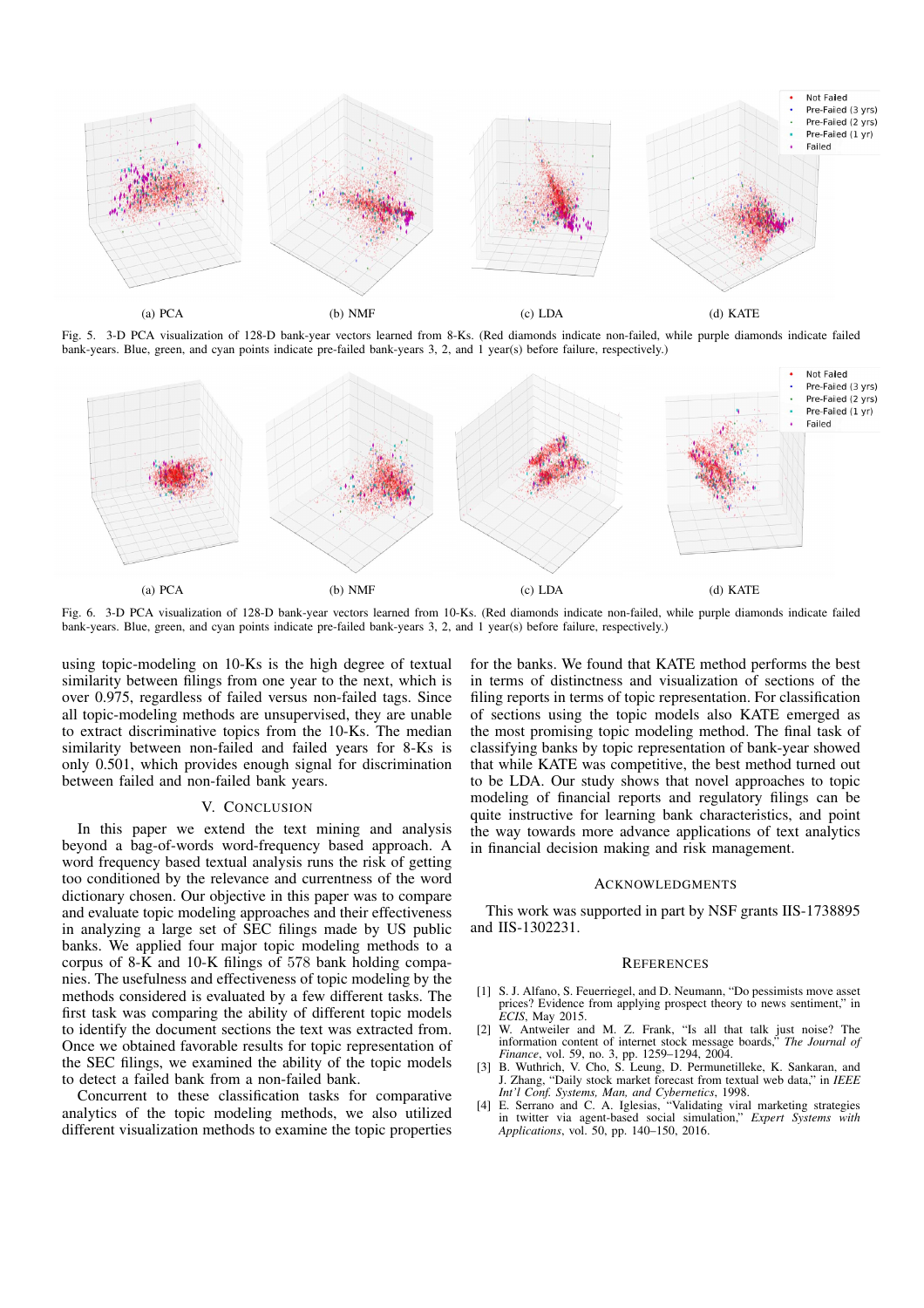

Fig. 5. 3-D PCA visualization of 128-D bank-year vectors learned from 8-Ks. (Red diamonds indicate non-failed, while purple diamonds indicate failed bank-years. Blue, green, and cyan points indicate pre-failed bank-years 3, 2, and 1 year(s) before failure, respectively.)



Fig. 6. 3-D PCA visualization of 128-D bank-year vectors learned from 10-Ks. (Red diamonds indicate non-failed, while purple diamonds indicate failed bank-years. Blue, green, and cyan points indicate pre-failed bank-years 3, 2, and 1 year(s) before failure, respectively.)

using topic-modeling on 10-Ks is the high degree of textual similarity between filings from one year to the next, which is over 0.975, regardless of failed versus non-failed tags. Since all topic-modeling methods are unsupervised, they are unable to extract discriminative topics from the 10-Ks. The median similarity between non-failed and failed years for 8-Ks is only 0.501, which provides enough signal for discrimination between failed and non-failed bank years.

#### V. CONCLUSION

In this paper we extend the text mining and analysis beyond a bag-of-words word-frequency based approach. A word frequency based textual analysis runs the risk of getting too conditioned by the relevance and currentness of the word dictionary chosen. Our objective in this paper was to compare and evaluate topic modeling approaches and their effectiveness in analyzing a large set of SEC filings made by US public banks. We applied four major topic modeling methods to a corpus of 8-K and  $10-K$  filings of  $578$  bank holding companies. The usefulness and effectiveness of topic modeling by the methods considered is evaluated by a few different tasks. The first task was comparing the ability of different topic models to identify the document sections the text was extracted from. Once we obtained favorable results for topic representation of the SEC filings, we examined the ability of the topic models to detect a failed bank from a non-failed bank.

Concurrent to these classification tasks for comparative analytics of the topic modeling methods, we also utilized different visualization methods to examine the topic properties

for the banks. We found that KATE method performs the best in terms of distinctness and visualization of sections of the filing reports in terms of topic representation. For classification of sections using the topic models also KATE emerged as the most promising topic modeling method. The final task of classifying banks by topic representation of bank-year showed that while KATE was competitive, the best method turned out to be LDA. Our study shows that novel approaches to topic modeling of financial reports and regulatory filings can be quite instructive for learning bank characteristics, and point the way towards more advance applications of text analytics in financial decision making and risk management.

#### ACKNOWLEDGMENTS

This work was supported in part by NSF grants IIS-1738895 and IIS-1302231.

#### **REFERENCES**

- [1] S. J. Alfano, S. Feuerriegel, and D. Neumann, "Do pessimists move asset prices? Evidence from applying prospect theory to news sentiment," in *ECIS*, May 2015.
- [2] W. Antweiler and M. Z. Frank, "Is all that talk just noise? The information content of internet stock message boards," *The Journal of Finance*, vol. 59, no. 3, pp. 1259–1294, 2004.
- [3] B. Wuthrich, V. Cho, S. Leung, D. Permunetilleke, K. Sankaran, and J. Zhang, "Daily stock market forecast from textual web data," in *IEEE Int'l Conf. Systems, Man, and Cybernetics*, 1998.
- [4] E. Serrano and C. A. Iglesias, "Validating viral marketing strategies in twitter via agent-based social simulation," *Expert Systems with Applications*, vol. 50, pp. 140–150, 2016.